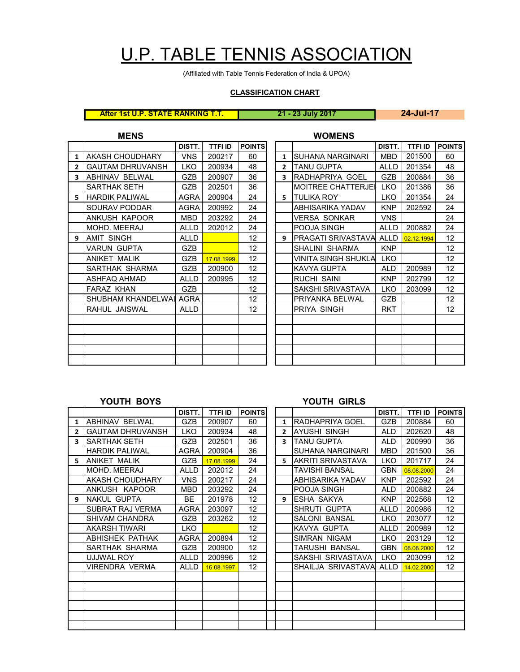## U.P. TABLE TENNIS ASSOCIATION

(Affiliated with Table Tennis Federation of India & UPOA)

## **CLASSIFICATION CHART**

**After 1st U.P. STATE RANKING T.T. 21 - 23 July 2017 24-Jul-17**

**MENS WOMENS**

|    |                         | DISTT.      | TTFI ID    | <b>POINTS</b>     |              |                           | DISTT.      | TTFI ID    | <b>POIN</b> |
|----|-------------------------|-------------|------------|-------------------|--------------|---------------------------|-------------|------------|-------------|
| 1  | AKASH CHOUDHARY         | <b>VNS</b>  | 200217     | 60                | $\mathbf{1}$ | ISUHANA NARGINARI         | <b>MBD</b>  | 201500     | 60          |
| 2  | <b>GAUTAM DHRUVANSH</b> | <b>LKO</b>  | 200934     | 48                | $\mathbf{2}$ | <b>TANU GUPTA</b>         | <b>ALLD</b> | 201354     | 48          |
| 3  | <b>ABHINAV BELWAL</b>   | <b>GZB</b>  | 200907     | 36                | 3            | RADHAPRIYA GOEL           | GZB         | 200884     | 36          |
|    | SARTHAK SETH            | <b>GZB</b>  | 202501     | 36                |              | <b>MOITREE CHATTERJEI</b> | <b>LKO</b>  | 201386     | 36          |
| 5. | <b>HARDIK PALIWAL</b>   | <b>AGRA</b> | 200904     | 24                |              | 5 <b>ITULIKA ROY</b>      | <b>LKO</b>  | 201354     | 24          |
|    | SOURAV PODDAR           | <b>AGRA</b> | 200992     | 24                |              | ABHISARIKA YADAV          | <b>KNP</b>  | 202592     | 24          |
|    | ANKUSH KAPOOR           | <b>MBD</b>  | 203292     | 24                |              | VERSA SONKAR              | <b>VNS</b>  |            | 24          |
|    | MOHD. MEERAJ            | <b>ALLD</b> | 202012     | 24                |              | POOJA SINGH               | <b>ALLD</b> | 200882     | 24          |
| 9  | <b>AMIT SINGH</b>       | <b>ALLD</b> |            | 12 <sup>2</sup>   | 9            | PRAGATI SRIVASTAVA ALLD   |             | 02.12.1994 | 12          |
|    | <b>VARUN GUPTA</b>      | <b>GZB</b>  |            | 12                |              | SHALINI SHARMA            | <b>KNP</b>  |            | 12          |
|    | <b>ANIKET MALIK</b>     | <b>GZB</b>  | 17.08.1999 | 12                |              | VINITA SINGH SHUKLA       | <b>LKO</b>  |            | 12          |
|    | SARTHAK SHARMA          | <b>GZB</b>  | 200900     | $12 \overline{ }$ |              | <b>KAVYA GUPTA</b>        | ALD         | 200989     | 12          |
|    | ASHFAQ AHMAD            | <b>ALLD</b> | 200995     | 12                |              | <b>RUCHI SAINI</b>        | <b>KNP</b>  | 202799     | 12          |
|    | <b>FARAZ KHAN</b>       | <b>GZB</b>  |            | $12 \overline{ }$ |              | SAKSHI SRIVASTAVA         | <b>LKO</b>  | 203099     | 12          |
|    | SHUBHAM KHANDELWAI AGRA |             |            | 12                |              | PRIYANKA BELWAL           | <b>GZB</b>  |            | 12          |
|    | RAHUL JAISWAL           | <b>ALLD</b> |            | 12                |              | PRIYA SINGH               | <b>RKT</b>  |            | 12          |
|    |                         |             |            |                   |              |                           |             |            |             |
|    |                         |             |            |                   |              |                           |             |            |             |
|    |                         |             |            |                   |              |                           |             |            |             |
|    |                         |             |            |                   |              |                           |             |            |             |
|    |                         |             |            |                   |              |                           |             |            |             |
|    |                         |             |            |                   |              |                           |             |            |             |

| DISTT.      | <b>TTFI ID</b> | <b>POINTS</b>     |                |                           | DISTT.      | <b>TTFI ID</b> | <b>POINTS</b>     |
|-------------|----------------|-------------------|----------------|---------------------------|-------------|----------------|-------------------|
| <b>VNS</b>  | 200217         | 60                | 1              | SUHANA NARGINARI          | <b>MBD</b>  | 201500         | 60                |
| <b>LKO</b>  | 200934         | 48                | $\overline{2}$ | TANU GUPTA                | <b>ALLD</b> | 201354         | 48                |
| <b>GZB</b>  | 200907         | 36                | 3              | RADHAPRIYA GOEL           | <b>GZB</b>  | 200884         | 36                |
| <b>GZB</b>  | 202501         | 36                |                | <b>MOITREE CHATTERJEI</b> | <b>LKO</b>  | 201386         | 36                |
| AGRA        | 200904         | 24                | 5.             | <b>TULIKA ROY</b>         | <b>LKO</b>  | 201354         | 24                |
| AGRA        | 200992         | 24                |                | ABHISARIKA YADAV          | <b>KNP</b>  | 202592         | 24                |
| MBD         | 203292         | 24                |                | VERSA SONKAR              | <b>VNS</b>  |                | 24                |
| <b>ALLD</b> | 202012         | 24                |                | POOJA SINGH               | <b>ALLD</b> | 200882         | 24                |
| <b>ALLD</b> |                | 12 <sup>2</sup>   | 9              | PRAGATI SRIVASTAVA        | <b>ALLD</b> | 02.12.1994     | $12 \overline{ }$ |
| <b>GZB</b>  |                | 12 <sup>2</sup>   |                | SHALINI SHARMA            | <b>KNP</b>  |                | 12 <sup>2</sup>   |
| <b>GZB</b>  | 17.08.1999     | 12 <sup>°</sup>   |                | VINITA SINGH SHUKLA       | <b>LKO</b>  |                | 12 <sup>2</sup>   |
| GZB         | 200900         | 12 <sup>2</sup>   |                | KAVYA GUPTA               | <b>ALD</b>  | 200989         | 12 <sup>2</sup>   |
| <b>ALLD</b> | 200995         | 12 <sup>2</sup>   |                | RUCHI SAINI               | <b>KNP</b>  | 202799         | 12 <sup>2</sup>   |
| GZB         |                | 12 <sup>2</sup>   |                | SAKSHI SRIVASTAVA         | <b>LKO</b>  | 203099         | 12 <sup>2</sup>   |
| AGRA        |                | 12                |                | PRIYANKA BELWAL           | <b>GZB</b>  |                | 12                |
| <b>ALLD</b> |                | $12 \overline{ }$ |                | PRIYA SINGH               | <b>RKT</b>  |                | 12 <sup>2</sup>   |
|             |                |                   |                |                           |             |                |                   |
|             |                |                   |                |                           |             |                |                   |
|             |                |                   |                |                           |             |                |                   |
|             |                |                   |                |                           |             |                |                   |
|             |                |                   |                |                           |             |                |                   |

## **YOUTH BOYS YOUTH GIRLS**

|    | .                       | טשוני טיייש |                |                   |  |              |                           |             |                |                 |
|----|-------------------------|-------------|----------------|-------------------|--|--------------|---------------------------|-------------|----------------|-----------------|
|    |                         | DISTT.      | <b>TTFI ID</b> | <b>POINTS</b>     |  |              |                           | DISTT.      | <b>TTFI ID</b> | <b>POINTS</b>   |
| 1  | ABHINAV BELWAL          | <b>GZB</b>  | 200907         | 60                |  | $\mathbf{1}$ | RADHAPRIYA GOEL           | <b>GZB</b>  | 200884         | 60              |
| 2  | <b>GAUTAM DHRUVANSH</b> | LKO.        | 200934         | 48                |  | $\mathbf{2}$ | <b>JAYUSHI SINGH</b>      | ALD.        | 202620         | 48              |
| 3  | <b>SARTHAK SETH</b>     | <b>GZB</b>  | 202501         | 36                |  | 3            | <b>TANU GUPTA</b>         | ALD         | 200990         | 36              |
|    | <b>HARDIK PALIWAL</b>   | AGRA        | 200904         | 36                |  |              | SUHANA NARGINARI          | <b>MBD</b>  | 201500         | 36              |
| 5. | <b>ANIKET MALIK</b>     | <b>GZB</b>  | 17.08.1999     | 24                |  | 5.           | <b>JAKRITI SRIVASTAVA</b> | LKO.        | 201717         | 24              |
|    | MOHD, MEERAJ            | <b>ALLD</b> | 202012         | 24                |  |              | <b>TAVISHI BANSAL</b>     | <b>GBN</b>  | 08.08.2000     | 24              |
|    | AKASH CHOUDHARY         | <b>VNS</b>  | 200217         | 24                |  |              | ABHISARIKA YADAV          | <b>KNP</b>  | 202592         | 24              |
|    | ANKUSH KAPOOR           | <b>MBD</b>  | 203292         | 24                |  |              | POOJA SINGH               | ALD.        | 200882         | 24              |
| 9  | INAKUL GUPTA            | <b>BE</b>   | 201978         | 12                |  | 9            | <b>IESHA SAKYA</b>        | <b>KNP</b>  | 202568         | 12              |
|    | SUBRAT RAJ VERMA        | AGRA        | 203097         | $12 \overline{ }$ |  |              | SHRUTI GUPTA              | ALLD        | 200986         | 12 <sup>2</sup> |
|    | <b>SHIVAM CHANDRA</b>   | <b>GZB</b>  | 203262         | 12 <sup>2</sup>   |  |              | <b>SALONI BANSAL</b>      | LKO.        | 203077         | 12 <sup>2</sup> |
|    | AKARSH TIWARI           | LKO.        |                | 12                |  |              | KAVYA GUPTA               | <b>ALLD</b> | 200989         | 12 <sup>2</sup> |
|    | <b>ABHISHEK PATHAK</b>  | <b>AGRA</b> | 200894         | 12                |  |              | <b>SIMRAN NIGAM</b>       | <b>LKO</b>  | 203129         | 12 <sup>2</sup> |
|    | SARTHAK SHARMA          | <b>GZB</b>  | 200900         | 12                |  |              | TARUSHI BANSAL            | <b>GBN</b>  | 08.08.2000     | 12 <sup>2</sup> |
|    | UJJWAL ROY              | <b>ALLD</b> | 200996         | 12 <sup>2</sup>   |  |              | SAKSHI SRIVASTAVA         | LKO         | 203099         | 12 <sup>2</sup> |
|    | VIRENDRA VERMA          | ALLD        | 16.08.1997     | 12 <sup>2</sup>   |  |              | SHAILJA SRIVASTAVA        | ALLD        | 14.02.2000     | 12 <sup>°</sup> |
|    |                         |             |                |                   |  |              |                           |             |                |                 |
|    |                         |             |                |                   |  |              |                           |             |                |                 |
|    |                         |             |                |                   |  |              |                           |             |                |                 |
|    |                         |             |                |                   |  |              |                           |             |                |                 |
|    |                         |             |                |                   |  |              |                           |             |                |                 |
|    |                         |             |                |                   |  |              |                           |             |                |                 |
|    |                         |             |                |                   |  |              |                           |             |                |                 |